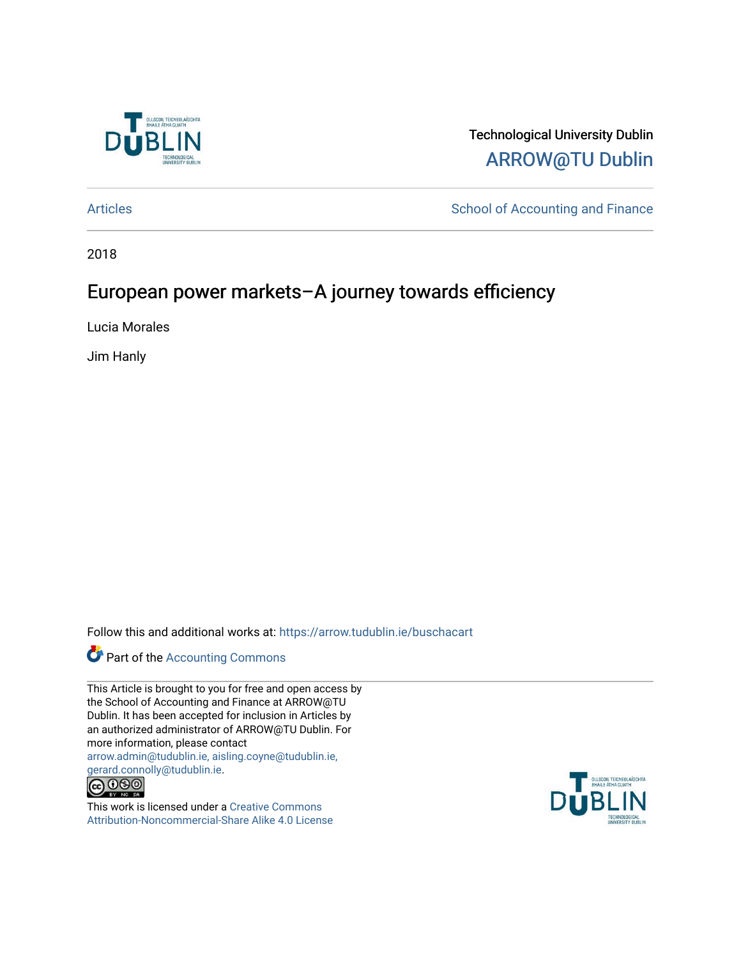

# Technological University Dublin [ARROW@TU Dublin](https://arrow.tudublin.ie/)

[Articles](https://arrow.tudublin.ie/buschacart) **School of Accounting and Finance** 

2018

# European power markets–A journey towards efficiency

Lucia Morales

Jim Hanly

Follow this and additional works at: [https://arrow.tudublin.ie/buschacart](https://arrow.tudublin.ie/buschacart?utm_source=arrow.tudublin.ie%2Fbuschacart%2F55&utm_medium=PDF&utm_campaign=PDFCoverPages)

**Part of the [Accounting Commons](http://network.bepress.com/hgg/discipline/625?utm_source=arrow.tudublin.ie%2Fbuschacart%2F55&utm_medium=PDF&utm_campaign=PDFCoverPages)** 

This Article is brought to you for free and open access by the School of Accounting and Finance at ARROW@TU Dublin. It has been accepted for inclusion in Articles by an authorized administrator of ARROW@TU Dublin. For more information, please contact [arrow.admin@tudublin.ie, aisling.coyne@tudublin.ie,](mailto:arrow.admin@tudublin.ie,%20aisling.coyne@tudublin.ie,%20gerard.connolly@tudublin.ie)  [gerard.connolly@tudublin.ie](mailto:arrow.admin@tudublin.ie,%20aisling.coyne@tudublin.ie,%20gerard.connolly@tudublin.ie).



This work is licensed under a [Creative Commons](http://creativecommons.org/licenses/by-nc-sa/4.0/) [Attribution-Noncommercial-Share Alike 4.0 License](http://creativecommons.org/licenses/by-nc-sa/4.0/)

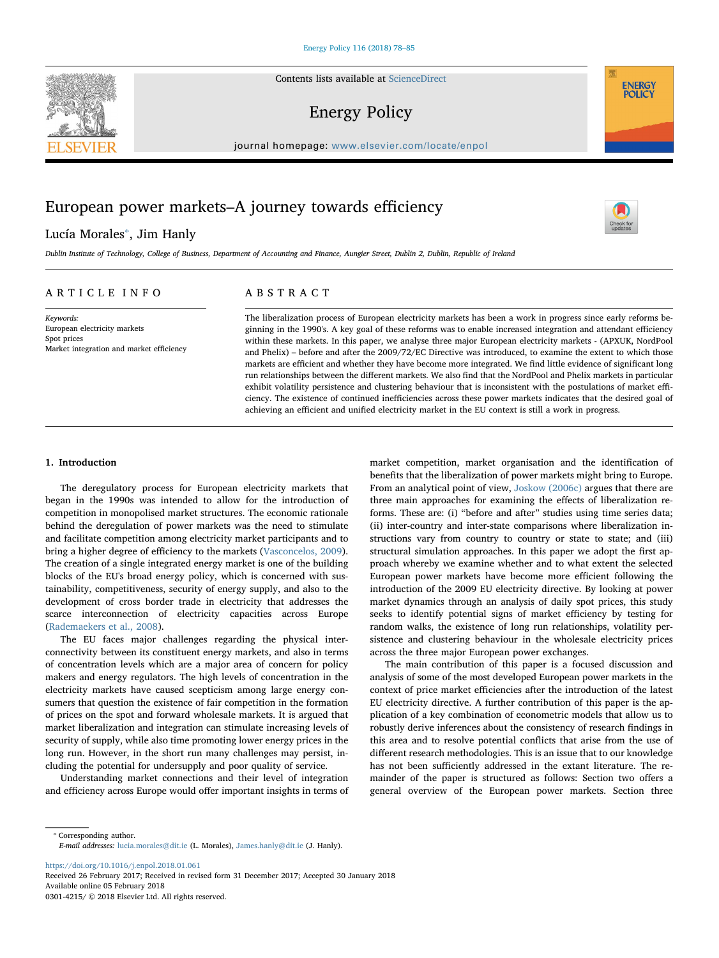Contents lists available at [ScienceDirect](http://www.sciencedirect.com/science/journal/03014215)

# Energy Policy

journal homepage: [www.elsevier.com/locate/enpol](https://www.elsevier.com/locate/enpol)

# European power markets–A journey towards efficiency

# Lucía Morales<sup>\*</sup>, Jim Hanly

Dublin Institute of Technology, College of Business, Department of Accounting and Finance, Aungier Street, Dublin 2, Dublin, Republic of Ireland

# ARTICLE INFO

Keywords: European electricity markets Spot prices Market integration and market efficiency

# ABSTRACT

The liberalization process of European electricity markets has been a work in progress since early reforms beginning in the 1990's. A key goal of these reforms was to enable increased integration and attendant efficiency within these markets. In this paper, we analyse three major European electricity markets - (APXUK, NordPool and Phelix) – before and after the 2009/72/EC Directive was introduced, to examine the extent to which those markets are efficient and whether they have become more integrated. We find little evidence of significant long run relationships between the different markets. We also find that the NordPool and Phelix markets in particular exhibit volatility persistence and clustering behaviour that is inconsistent with the postulations of market efficiency. The existence of continued inefficiencies across these power markets indicates that the desired goal of achieving an efficient and unified electricity market in the EU context is still a work in progress.

# 1. Introduction

The deregulatory process for European electricity markets that began in the 1990s was intended to allow for the introduction of competition in monopolised market structures. The economic rationale behind the deregulation of power markets was the need to stimulate and facilitate competition among electricity market participants and to bring a higher degree of efficiency to the markets [\(Vasconcelos, 2009](#page-8-0)). The creation of a single integrated energy market is one of the building blocks of the EU's broad energy policy, which is concerned with sustainability, competitiveness, security of energy supply, and also to the development of cross border trade in electricity that addresses the scarce interconnection of electricity capacities across Europe ([Rademaekers et al., 2008\)](#page-8-1).

The EU faces major challenges regarding the physical interconnectivity between its constituent energy markets, and also in terms of concentration levels which are a major area of concern for policy makers and energy regulators. The high levels of concentration in the electricity markets have caused scepticism among large energy consumers that question the existence of fair competition in the formation of prices on the spot and forward wholesale markets. It is argued that market liberalization and integration can stimulate increasing levels of security of supply, while also time promoting lower energy prices in the long run. However, in the short run many challenges may persist, including the potential for undersupply and poor quality of service.

Understanding market connections and their level of integration and efficiency across Europe would offer important insights in terms of market competition, market organisation and the identification of benefits that the liberalization of power markets might bring to Europe. From an analytical point of view, [Joskow \(2006c\)](#page-8-2) argues that there are three main approaches for examining the effects of liberalization reforms. These are: (i) "before and after" studies using time series data; (ii) inter-country and inter-state comparisons where liberalization instructions vary from country to country or state to state; and (iii) structural simulation approaches. In this paper we adopt the first approach whereby we examine whether and to what extent the selected European power markets have become more efficient following the introduction of the 2009 EU electricity directive. By looking at power market dynamics through an analysis of daily spot prices, this study seeks to identify potential signs of market efficiency by testing for random walks, the existence of long run relationships, volatility persistence and clustering behaviour in the wholesale electricity prices across the three major European power exchanges.

The main contribution of this paper is a focused discussion and analysis of some of the most developed European power markets in the context of price market efficiencies after the introduction of the latest EU electricity directive. A further contribution of this paper is the application of a key combination of econometric models that allow us to robustly derive inferences about the consistency of research findings in this area and to resolve potential conflicts that arise from the use of different research methodologies. This is an issue that to our knowledge has not been sufficiently addressed in the extant literature. The remainder of the paper is structured as follows: Section two offers a general overview of the European power markets. Section three

<span id="page-1-0"></span>⁎ Corresponding author. E-mail addresses: [lucia.morales@dit.ie](mailto:lucia.morales@dit.ie) (L. Morales), [James.hanly@dit.ie](mailto:James.hanly@dit.ie) (J. Hanly).

<https://doi.org/10.1016/j.enpol.2018.01.061>

Received 26 February 2017; Received in revised form 31 December 2017; Accepted 30 January 2018 Available online 05 February 2018 0301-4215/ © 2018 Elsevier Ltd. All rights reserved.





**ENERGY**<br>POLICY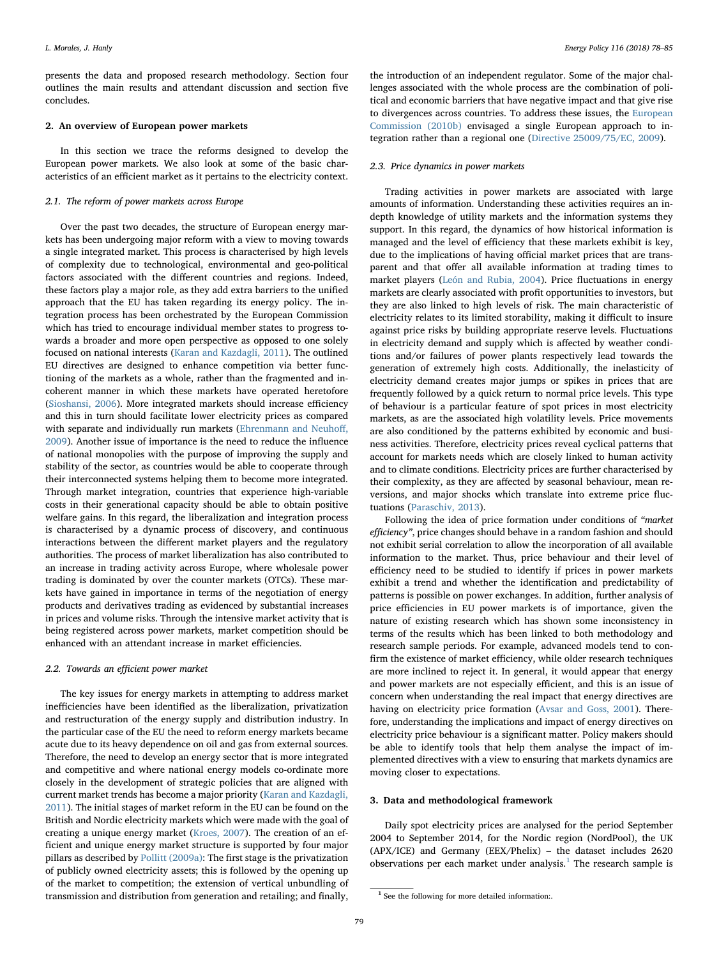presents the data and proposed research methodology. Section four outlines the main results and attendant discussion and section five concludes.

#### 2. An overview of European power markets

In this section we trace the reforms designed to develop the European power markets. We also look at some of the basic characteristics of an efficient market as it pertains to the electricity context.

# 2.1. The reform of power markets across Europe

Over the past two decades, the structure of European energy markets has been undergoing major reform with a view to moving towards a single integrated market. This process is characterised by high levels of complexity due to technological, environmental and geo-political factors associated with the different countries and regions. Indeed, these factors play a major role, as they add extra barriers to the unified approach that the EU has taken regarding its energy policy. The integration process has been orchestrated by the European Commission which has tried to encourage individual member states to progress towards a broader and more open perspective as opposed to one solely focused on national interests [\(Karan and Kazdagli, 2011](#page-8-3)). The outlined EU directives are designed to enhance competition via better functioning of the markets as a whole, rather than the fragmented and incoherent manner in which these markets have operated heretofore ([Sioshansi, 2006\)](#page-8-4). More integrated markets should increase efficiency and this in turn should facilitate lower electricity prices as compared with separate and individually run markets ([Ehrenmann and Neuho](#page-8-5)ff, [2009\)](#page-8-5). Another issue of importance is the need to reduce the influence of national monopolies with the purpose of improving the supply and stability of the sector, as countries would be able to cooperate through their interconnected systems helping them to become more integrated. Through market integration, countries that experience high-variable costs in their generational capacity should be able to obtain positive welfare gains. In this regard, the liberalization and integration process is characterised by a dynamic process of discovery, and continuous interactions between the different market players and the regulatory authorities. The process of market liberalization has also contributed to an increase in trading activity across Europe, where wholesale power trading is dominated by over the counter markets (OTCs). These markets have gained in importance in terms of the negotiation of energy products and derivatives trading as evidenced by substantial increases in prices and volume risks. Through the intensive market activity that is being registered across power markets, market competition should be enhanced with an attendant increase in market efficiencies.

#### 2.2. Towards an efficient power market

The key issues for energy markets in attempting to address market inefficiencies have been identified as the liberalization, privatization and restructuration of the energy supply and distribution industry. In the particular case of the EU the need to reform energy markets became acute due to its heavy dependence on oil and gas from external sources. Therefore, the need to develop an energy sector that is more integrated and competitive and where national energy models co-ordinate more closely in the development of strategic policies that are aligned with current market trends has become a major priority [\(Karan and Kazdagli,](#page-8-3) [2011\)](#page-8-3). The initial stages of market reform in the EU can be found on the British and Nordic electricity markets which were made with the goal of creating a unique energy market [\(Kroes, 2007\)](#page-8-6). The creation of an efficient and unique energy market structure is supported by four major pillars as described by [Pollitt \(2009a\):](#page-8-7) The first stage is the privatization of publicly owned electricity assets; this is followed by the opening up of the market to competition; the extension of vertical unbundling of transmission and distribution from generation and retailing; and finally,

the introduction of an independent regulator. Some of the major challenges associated with the whole process are the combination of political and economic barriers that have negative impact and that give rise to divergences across countries. To address these issues, the [European](#page-8-8) [Commission \(2010b\)](#page-8-8) envisaged a single European approach to integration rather than a regional one ([Directive 25009/75/EC, 2009\)](#page-8-9).

#### 2.3. Price dynamics in power markets

Trading activities in power markets are associated with large amounts of information. Understanding these activities requires an indepth knowledge of utility markets and the information systems they support. In this regard, the dynamics of how historical information is managed and the level of efficiency that these markets exhibit is key, due to the implications of having official market prices that are transparent and that offer all available information at trading times to market players ([León and Rubia, 2004](#page-8-10)). Price fluctuations in energy markets are clearly associated with profit opportunities to investors, but they are also linked to high levels of risk. The main characteristic of electricity relates to its limited storability, making it difficult to insure against price risks by building appropriate reserve levels. Fluctuations in electricity demand and supply which is affected by weather conditions and/or failures of power plants respectively lead towards the generation of extremely high costs. Additionally, the inelasticity of electricity demand creates major jumps or spikes in prices that are frequently followed by a quick return to normal price levels. This type of behaviour is a particular feature of spot prices in most electricity markets, as are the associated high volatility levels. Price movements are also conditioned by the patterns exhibited by economic and business activities. Therefore, electricity prices reveal cyclical patterns that account for markets needs which are closely linked to human activity and to climate conditions. Electricity prices are further characterised by their complexity, as they are affected by seasonal behaviour, mean reversions, and major shocks which translate into extreme price fluctuations ([Paraschiv, 2013](#page-8-11)).

Following the idea of price formation under conditions of "market efficiency", price changes should behave in a random fashion and should not exhibit serial correlation to allow the incorporation of all available information to the market. Thus, price behaviour and their level of efficiency need to be studied to identify if prices in power markets exhibit a trend and whether the identification and predictability of patterns is possible on power exchanges. In addition, further analysis of price efficiencies in EU power markets is of importance, given the nature of existing research which has shown some inconsistency in terms of the results which has been linked to both methodology and research sample periods. For example, advanced models tend to confirm the existence of market efficiency, while older research techniques are more inclined to reject it. In general, it would appear that energy and power markets are not especially efficient, and this is an issue of concern when understanding the real impact that energy directives are having on electricity price formation ([Avsar and Goss, 2001](#page-8-12)). Therefore, understanding the implications and impact of energy directives on electricity price behaviour is a significant matter. Policy makers should be able to identify tools that help them analyse the impact of implemented directives with a view to ensuring that markets dynamics are moving closer to expectations.

## 3. Data and methodological framework

Daily spot electricity prices are analysed for the period September 2004 to September 2014, for the Nordic region (NordPool), the UK (APX/ICE) and Germany (EEX/Phelix) – the dataset includes 2620 observations per each market under analysis. $1$  The research sample is

<span id="page-2-0"></span> $<sup>1</sup>$  See the following for more detailed information:.</sup>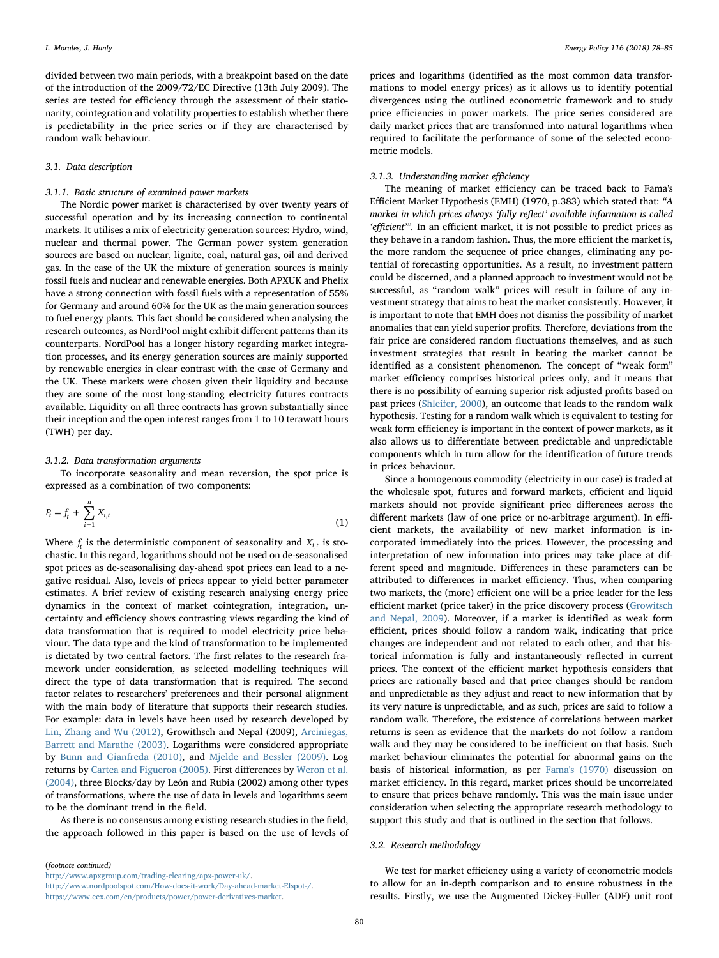divided between two main periods, with a breakpoint based on the date of the introduction of the 2009/72/EC Directive (13th July 2009). The series are tested for efficiency through the assessment of their stationarity, cointegration and volatility properties to establish whether there is predictability in the price series or if they are characterised by random walk behaviour.

#### 3.1. Data description

# 3.1.1. Basic structure of examined power markets

The Nordic power market is characterised by over twenty years of successful operation and by its increasing connection to continental markets. It utilises a mix of electricity generation sources: Hydro, wind, nuclear and thermal power. The German power system generation sources are based on nuclear, lignite, coal, natural gas, oil and derived gas. In the case of the UK the mixture of generation sources is mainly fossil fuels and nuclear and renewable energies. Both APXUK and Phelix have a strong connection with fossil fuels with a representation of 55% for Germany and around 60% for the UK as the main generation sources to fuel energy plants. This fact should be considered when analysing the research outcomes, as NordPool might exhibit different patterns than its counterparts. NordPool has a longer history regarding market integration processes, and its energy generation sources are mainly supported by renewable energies in clear contrast with the case of Germany and the UK. These markets were chosen given their liquidity and because they are some of the most long-standing electricity futures contracts available. Liquidity on all three contracts has grown substantially since their inception and the open interest ranges from 1 to 10 terawatt hours (TWH) per day.

# 3.1.2. Data transformation arguments

To incorporate seasonality and mean reversion, the spot price is expressed as a combination of two components:

$$
P_t = f_t + \sum_{i=1}^n X_{i,t}
$$
 (1)

Where  $f_t$  is the deterministic component of seasonality and  $X_{i,t}$  is stochastic. In this regard, logarithms should not be used on de-seasonalised spot prices as de-seasonalising day-ahead spot prices can lead to a negative residual. Also, levels of prices appear to yield better parameter estimates. A brief review of existing research analysing energy price dynamics in the context of market cointegration, integration, uncertainty and efficiency shows contrasting views regarding the kind of data transformation that is required to model electricity price behaviour. The data type and the kind of transformation to be implemented is dictated by two central factors. The first relates to the research framework under consideration, as selected modelling techniques will direct the type of data transformation that is required. The second factor relates to researchers' preferences and their personal alignment with the main body of literature that supports their research studies. For example: data in levels have been used by research developed by [Lin, Zhang and Wu \(2012\)](#page-8-13), Growithsch and Nepal (2009), [Arciniegas,](#page-8-14) [Barrett and Marathe \(2003\).](#page-8-14) Logarithms were considered appropriate by [Bunn and Gianfreda \(2010\),](#page-8-15) and [Mjelde and Bessler \(2009\)](#page-8-16). Log returns by [Cartea and Figueroa \(2005\).](#page-8-17) First differences by [Weron et al.](#page-8-18) [\(2004\),](#page-8-18) three Blocks/day by León and Rubia (2002) among other types of transformations, where the use of data in levels and logarithms seem to be the dominant trend in the field.

As there is no consensus among existing research studies in the field, the approach followed in this paper is based on the use of levels of

(footnote continued)

prices and logarithms (identified as the most common data transformations to model energy prices) as it allows us to identify potential divergences using the outlined econometric framework and to study price efficiencies in power markets. The price series considered are daily market prices that are transformed into natural logarithms when required to facilitate the performance of some of the selected econometric models.

# 3.1.3. Understanding market efficiency

The meaning of market efficiency can be traced back to Fama's Efficient Market Hypothesis (EMH) (1970, p.383) which stated that: "A market in which prices always 'fully reflect' available information is called 'efficient'". In an efficient market, it is not possible to predict prices as they behave in a random fashion. Thus, the more efficient the market is, the more random the sequence of price changes, eliminating any potential of forecasting opportunities. As a result, no investment pattern could be discerned, and a planned approach to investment would not be successful, as "random walk" prices will result in failure of any investment strategy that aims to beat the market consistently. However, it is important to note that EMH does not dismiss the possibility of market anomalies that can yield superior profits. Therefore, deviations from the fair price are considered random fluctuations themselves, and as such investment strategies that result in beating the market cannot be identified as a consistent phenomenon. The concept of "weak form" market efficiency comprises historical prices only, and it means that there is no possibility of earning superior risk adjusted profits based on past prices ([Shleifer, 2000](#page-8-19)), an outcome that leads to the random walk hypothesis. Testing for a random walk which is equivalent to testing for weak form efficiency is important in the context of power markets, as it also allows us to differentiate between predictable and unpredictable components which in turn allow for the identification of future trends in prices behaviour.

Since a homogenous commodity (electricity in our case) is traded at the wholesale spot, futures and forward markets, efficient and liquid markets should not provide significant price differences across the different markets (law of one price or no-arbitrage argument). In efficient markets, the availability of new market information is incorporated immediately into the prices. However, the processing and interpretation of new information into prices may take place at different speed and magnitude. Differences in these parameters can be attributed to differences in market efficiency. Thus, when comparing two markets, the (more) efficient one will be a price leader for the less efficient market (price taker) in the price discovery process ([Growitsch](#page-8-20) [and Nepal, 2009\)](#page-8-20). Moreover, if a market is identified as weak form efficient, prices should follow a random walk, indicating that price changes are independent and not related to each other, and that historical information is fully and instantaneously reflected in current prices. The context of the efficient market hypothesis considers that prices are rationally based and that price changes should be random and unpredictable as they adjust and react to new information that by its very nature is unpredictable, and as such, prices are said to follow a random walk. Therefore, the existence of correlations between market returns is seen as evidence that the markets do not follow a random walk and they may be considered to be inefficient on that basis. Such market behaviour eliminates the potential for abnormal gains on the basis of historical information, as per [Fama's \(1970\)](#page-8-21) discussion on market efficiency. In this regard, market prices should be uncorrelated to ensure that prices behave randomly. This was the main issue under consideration when selecting the appropriate research methodology to support this study and that is outlined in the section that follows.

#### 3.2. Research methodology

We test for market efficiency using a variety of econometric models to allow for an in-depth comparison and to ensure robustness in the results. Firstly, we use the Augmented Dickey-Fuller (ADF) unit root

<http://www.apxgroup.com/trading-clearing/apx-power-uk/>.

<http://www.nordpoolspot.com/How-does-it-work/Day-ahead-market-Elspot-/>. <https://www.eex.com/en/products/power/power-derivatives-market>.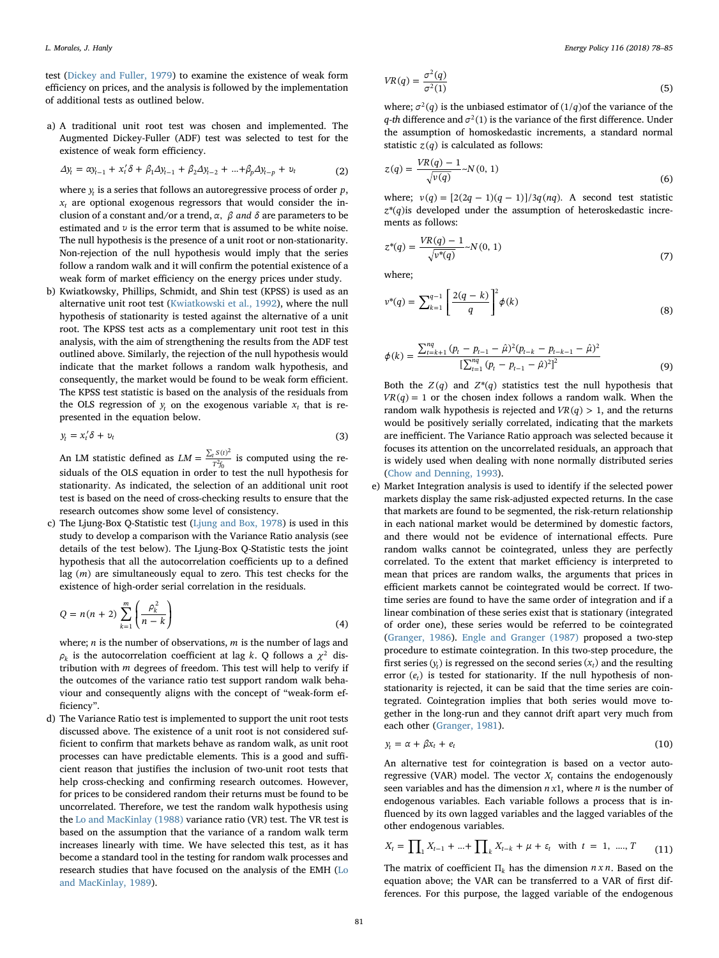test ([Dickey and Fuller, 1979\)](#page-8-22) to examine the existence of weak form efficiency on prices, and the analysis is followed by the implementation of additional tests as outlined below.

a) A traditional unit root test was chosen and implemented. The Augmented Dickey-Fuller (ADF) test was selected to test for the existence of weak form efficiency.

$$
\Delta y_t = \alpha y_{t-1} + x_t' \delta + \beta_1 \Delta y_{t-1} + \beta_2 \Delta y_{t-2} + ... + \beta_p \Delta y_{t-p} + v_t
$$
 (2)

where  $y_t$  is a series that follows an autoregressive process of order  $p$ ,  $x_t$  are optional exogenous regressors that would consider the inclusion of a constant and/or a trend, *α*, *β and δ* are parameters to be estimated and *υ* is the error term that is assumed to be white noise. The null hypothesis is the presence of a unit root or non-stationarity. Non-rejection of the null hypothesis would imply that the series follow a random walk and it will confirm the potential existence of a weak form of market efficiency on the energy prices under study.

b) Kwiatkowsky, Phillips, Schmidt, and Shin test (KPSS) is used as an alternative unit root test [\(Kwiatkowski et al., 1992](#page-8-23)), where the null hypothesis of stationarity is tested against the alternative of a unit root. The KPSS test acts as a complementary unit root test in this analysis, with the aim of strengthening the results from the ADF test outlined above. Similarly, the rejection of the null hypothesis would indicate that the market follows a random walk hypothesis, and consequently, the market would be found to be weak form efficient. The KPSS test statistic is based on the analysis of the residuals from the OLS regression of  $y_t$  on the exogenous variable  $x_t$  that is represented in the equation below.

$$
y_t = x_t' \delta + v_t \tag{3}
$$

An LM statistic defined as  $LM = \frac{\sum_t S(t)^2}{T^2 f_0}$  $\frac{1}{2}$  is computed using the residuals of the OLS equation in order to test the null hypothesis for stationarity. As indicated, the selection of an additional unit root test is based on the need of cross-checking results to ensure that the research outcomes show some level of consistency.

c) The Ljung-Box Q-Statistic test [\(Ljung and Box, 1978](#page-8-24)) is used in this study to develop a comparison with the Variance Ratio analysis (see details of the test below). The Ljung-Box Q-Statistic tests the joint hypothesis that all the autocorrelation coefficients up to a defined lag  $(m)$  are simultaneously equal to zero. This test checks for the existence of high-order serial correlation in the residuals.

$$
Q = n(n+2) \sum_{k=1}^{m} \left( \frac{\rho_k^2}{n-k} \right)
$$
\n(4)

where; *n* is the number of observations, *m* is the number of lags and *ρ<sub>k</sub>* is the autocorrelation coefficient at lag *k*. Q follows a  $χ²$  distribution with *m* degrees of freedom. This test will help to verify if the outcomes of the variance ratio test support random walk behaviour and consequently aligns with the concept of "weak-form efficiency".

d) The Variance Ratio test is implemented to support the unit root tests discussed above. The existence of a unit root is not considered sufficient to confirm that markets behave as random walk, as unit root processes can have predictable elements. This is a good and sufficient reason that justifies the inclusion of two-unit root tests that help cross-checking and confirming research outcomes. However, for prices to be considered random their returns must be found to be uncorrelated. Therefore, we test the random walk hypothesis using the [Lo and MacKinlay \(1988\)](#page-8-25) variance ratio (VR) test. The VR test is based on the assumption that the variance of a random walk term increases linearly with time. We have selected this test, as it has become a standard tool in the testing for random walk processes and research studies that have focused on the analysis of the EMH [\(Lo](#page-8-26) [and MacKinlay, 1989](#page-8-26)).

$$
VR(q) = \frac{\sigma^2(q)}{\sigma^2(1)}\tag{5}
$$

where;  $\sigma^2(q)$  is the unbiased estimator of  $(1/q)$  of the variance of the *q-th* difference and  $\sigma^2(1)$  is the variance of the first difference. Under the assumption of homoskedastic increments, a standard normal statistic  $z(q)$  is calculated as follows:

$$
z(q) = \frac{VR(q) - 1}{\sqrt{v(q)}} \sim N(0, 1)
$$
\n(6)

where;  $v(q) = [2(2q - 1)(q - 1)]/3q(nq)$ . A second test statistic  $z^*(q)$  is developed under the assumption of heteroskedastic increments as follows:

$$
z^*(q) = \frac{VR(q) - 1}{\sqrt{v^*(q)}} \sim N(0, 1)
$$
\n(7)

where;

$$
v^*(q) = \sum_{k=1}^{q-1} \left[ \frac{2(q-k)}{q} \right]^2 \phi(k)
$$
 (8)

$$
\phi(k) = \frac{\sum_{t=k+1}^{nq} (p_t - p_{t-1} - \hat{\mu})^2 (p_{t-k} - p_{t-k-1} - \hat{\mu})^2}{[\sum_{t=1}^{nq} (p_t - p_{t-1} - \hat{\mu})^2]^2}
$$
(9)

Both the  $Z(q)$  and  $Z^*(q)$  statistics test the null hypothesis that  $VR(q) = 1$  or the chosen index follows a random walk. When the random walk hypothesis is rejected and  $VR(q) > 1$ , and the returns would be positively serially correlated, indicating that the markets are inefficient. The Variance Ratio approach was selected because it focuses its attention on the uncorrelated residuals, an approach that is widely used when dealing with none normally distributed series [\(Chow and Denning, 1993](#page-8-27)).

e) Market Integration analysis is used to identify if the selected power markets display the same risk-adjusted expected returns. In the case that markets are found to be segmented, the risk-return relationship in each national market would be determined by domestic factors, and there would not be evidence of international effects. Pure random walks cannot be cointegrated, unless they are perfectly correlated. To the extent that market efficiency is interpreted to mean that prices are random walks, the arguments that prices in efficient markets cannot be cointegrated would be correct. If twotime series are found to have the same order of integration and if a linear combination of these series exist that is stationary (integrated of order one), these series would be referred to be cointegrated [\(Granger, 1986\)](#page-8-28). [Engle and Granger \(1987\)](#page-8-29) proposed a two-step procedure to estimate cointegration. In this two-step procedure, the first series  $(y_t)$  is regressed on the second series  $(x_t)$  and the resulting error  $(e_t)$  is tested for stationarity. If the null hypothesis of nonstationarity is rejected, it can be said that the time series are cointegrated. Cointegration implies that both series would move together in the long-run and they cannot drift apart very much from each other ([Granger, 1981\)](#page-8-30).

$$
y_t = \alpha + \beta x_t + e_t \tag{10}
$$

An alternative test for cointegration is based on a vector autoregressive (VAR) model. The vector  $X_t$  contains the endogenously seen variables and has the dimension *n x*1, where *n* is the number of endogenous variables. Each variable follows a process that is influenced by its own lagged variables and the lagged variables of the other endogenous variables.

$$
X_{t} = \prod_{1} X_{t-1} + \dots + \prod_{k} X_{t-k} + \mu + \varepsilon_{t} \quad \text{with } t = 1, \dots, T \tag{11}
$$

The matrix of coefficient  $\Pi_k$  has the dimension  $n \times n$ . Based on the equation above; the VAR can be transferred to a VAR of first differences. For this purpose, the lagged variable of the endogenous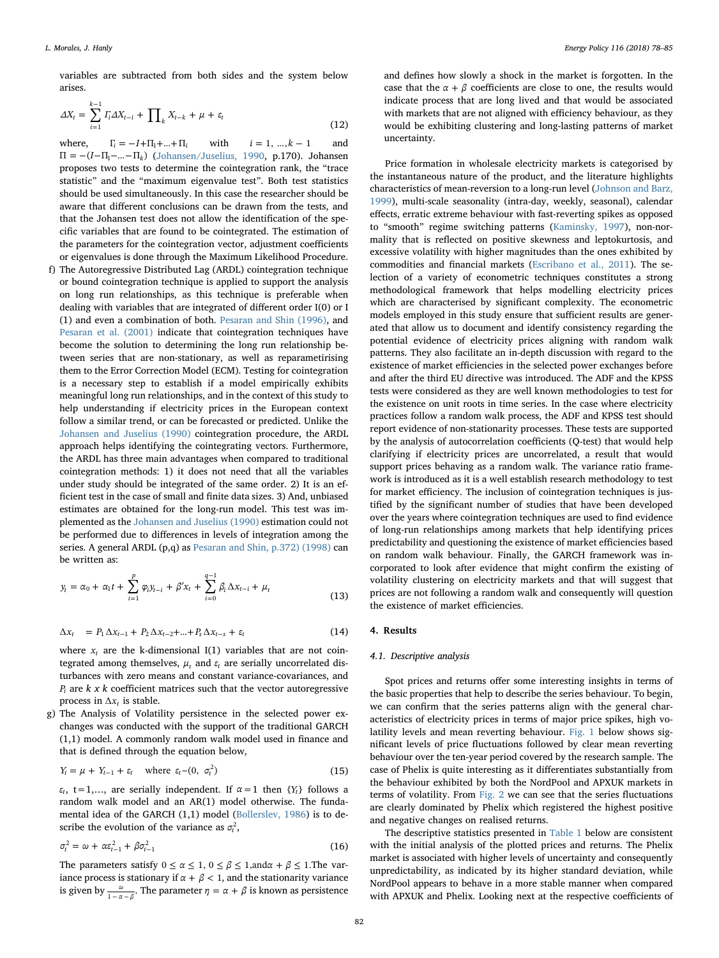variables are subtracted from both sides and the system below arises.

$$
\Delta X_t = \sum_{i=1}^{k-1} \Gamma_i \Delta X_{t-i} + \prod_k X_{t-k} + \mu + \varepsilon_t \tag{12}
$$

where,  $\Gamma_i = -I + \Pi_1 + ... + \Pi_i$  with  $i = 1, ..., k - 1$  and  $\Pi = -(I - \Pi_1 - ... - \Pi_k)$  ([Johansen/Juselius, 1990](#page-8-31), p.170). Johansen proposes two tests to determine the cointegration rank, the "trace statistic" and the "maximum eigenvalue test". Both test statistics should be used simultaneously. In this case the researcher should be aware that different conclusions can be drawn from the tests, and that the Johansen test does not allow the identification of the specific variables that are found to be cointegrated. The estimation of the parameters for the cointegration vector, adjustment coefficients or eigenvalues is done through the Maximum Likelihood Procedure.

f) The Autoregressive Distributed Lag (ARDL) cointegration technique or bound cointegration technique is applied to support the analysis on long run relationships, as this technique is preferable when dealing with variables that are integrated of different order I(0) or I (1) and even a combination of both. [Pesaran and Shin \(1996\),](#page-8-32) and [Pesaran et al. \(2001\)](#page-8-33) indicate that cointegration techniques have become the solution to determining the long run relationship between series that are non-stationary, as well as reparametirising them to the Error Correction Model (ECM). Testing for cointegration is a necessary step to establish if a model empirically exhibits meaningful long run relationships, and in the context of this study to help understanding if electricity prices in the European context follow a similar trend, or can be forecasted or predicted. Unlike the [Johansen and Juselius \(1990\)](#page-8-31) cointegration procedure, the ARDL approach helps identifying the cointegrating vectors. Furthermore, the ARDL has three main advantages when compared to traditional cointegration methods: 1) it does not need that all the variables under study should be integrated of the same order. 2) It is an efficient test in the case of small and finite data sizes. 3) And, unbiased estimates are obtained for the long-run model. This test was implemented as the [Johansen and Juselius \(1990\)](#page-8-31) estimation could not be performed due to differences in levels of integration among the series. A general ARDL (p,q) as [Pesaran and Shin, p.372\) \(1998\)](#page-8-34) can be written as:

$$
y_{t} = \alpha_{0} + \alpha_{1}t + \sum_{i=1}^{p} \varphi_{i}y_{t-i} + \beta'x_{t} + \sum_{i=0}^{q-1} \beta_{i} \Delta x_{t-i} + \mu_{t}
$$
\n(13)

$$
\Delta x_t = P_1 \Delta x_{t-1} + P_2 \Delta x_{t-2} + \dots + P_s \Delta x_{t-s} + \varepsilon_t \tag{14}
$$

where  $x_t$  are the k-dimensional I(1) variables that are not cointegrated among themselves,  $\mu_t$  and  $\varepsilon_t$  are serially uncorrelated disturbances with zero means and constant variance-covariances, and  $P_i$  are  $k \times k$  coefficient matrices such that the vector autoregressive process in  $\Delta x_t$  is stable.

g) The Analysis of Volatility persistence in the selected power exchanges was conducted with the support of the traditional GARCH (1,1) model. A commonly random walk model used in finance and that is defined through the equation below,

$$
Y_t = \mu + Y_{t-1} + \varepsilon_t \quad \text{where } \varepsilon_t \sim (0, \sigma_t^2) \tag{15}
$$

 $\varepsilon_t$ ,  $t=1,...$ , are serially independent. If  $\alpha=1$  then  ${Y_t}$  follows a random walk model and an AR(1) model otherwise. The fundamental idea of the GARCH (1,1) model ([Bollerslev, 1986](#page-8-35)) is to describe the evolution of the variance as  $\sigma_t^2$ ,

$$
\sigma_t^2 = \omega + \alpha \varepsilon_{t-1}^2 + \beta \sigma_{t-1}^2 \tag{16}
$$

The parameters satisfy  $0 \le \alpha \le 1$ ,  $0 \le \beta \le 1$ , and  $\alpha + \beta \le 1$ . The variance process is stationary if  $\alpha + \beta < 1$ , and the stationarity variance is given by  $\frac{\omega}{1-\alpha-\beta}$ . The parameter  $\eta = \alpha + \beta$  is known as persistence

and defines how slowly a shock in the market is forgotten. In the case that the  $\alpha + \beta$  coefficients are close to one, the results would indicate process that are long lived and that would be associated with markets that are not aligned with efficiency behaviour, as they would be exhibiting clustering and long-lasting patterns of market uncertainty.

Price formation in wholesale electricity markets is categorised by the instantaneous nature of the product, and the literature highlights characteristics of mean-reversion to a long-run level [\(Johnson and Barz,](#page-8-36) [1999\)](#page-8-36), multi-scale seasonality (intra-day, weekly, seasonal), calendar effects, erratic extreme behaviour with fast-reverting spikes as opposed to "smooth" regime switching patterns ([Kaminsky, 1997\)](#page-8-37), non-normality that is reflected on positive skewness and leptokurtosis, and excessive volatility with higher magnitudes than the ones exhibited by commodities and financial markets [\(Escribano et al., 2011](#page-8-38)). The selection of a variety of econometric techniques constitutes a strong methodological framework that helps modelling electricity prices which are characterised by significant complexity. The econometric models employed in this study ensure that sufficient results are generated that allow us to document and identify consistency regarding the potential evidence of electricity prices aligning with random walk patterns. They also facilitate an in-depth discussion with regard to the existence of market efficiencies in the selected power exchanges before and after the third EU directive was introduced. The ADF and the KPSS tests were considered as they are well known methodologies to test for the existence on unit roots in time series. In the case where electricity practices follow a random walk process, the ADF and KPSS test should report evidence of non-stationarity processes. These tests are supported by the analysis of autocorrelation coefficients (Q-test) that would help clarifying if electricity prices are uncorrelated, a result that would support prices behaving as a random walk. The variance ratio framework is introduced as it is a well establish research methodology to test for market efficiency. The inclusion of cointegration techniques is justified by the significant number of studies that have been developed over the years where cointegration techniques are used to find evidence of long-run relationships among markets that help identifying prices predictability and questioning the existence of market efficiencies based on random walk behaviour. Finally, the GARCH framework was incorporated to look after evidence that might confirm the existing of volatility clustering on electricity markets and that will suggest that prices are not following a random walk and consequently will question the existence of market efficiencies.

### 4. Results

#### 4.1. Descriptive analysis

Spot prices and returns offer some interesting insights in terms of the basic properties that help to describe the series behaviour. To begin, we can confirm that the series patterns align with the general characteristics of electricity prices in terms of major price spikes, high volatility levels and mean reverting behaviour. [Fig. 1](#page-6-0) below shows significant levels of price fluctuations followed by clear mean reverting behaviour over the ten-year period covered by the research sample. The case of Phelix is quite interesting as it differentiates substantially from the behaviour exhibited by both the NordPool and APXUK markets in terms of volatility. From [Fig. 2](#page-6-1) we can see that the series fluctuations are clearly dominated by Phelix which registered the highest positive and negative changes on realised returns.

The descriptive statistics presented in [Table 1](#page-6-2) below are consistent with the initial analysis of the plotted prices and returns. The Phelix market is associated with higher levels of uncertainty and consequently unpredictability, as indicated by its higher standard deviation, while NordPool appears to behave in a more stable manner when compared with APXUK and Phelix. Looking next at the respective coefficients of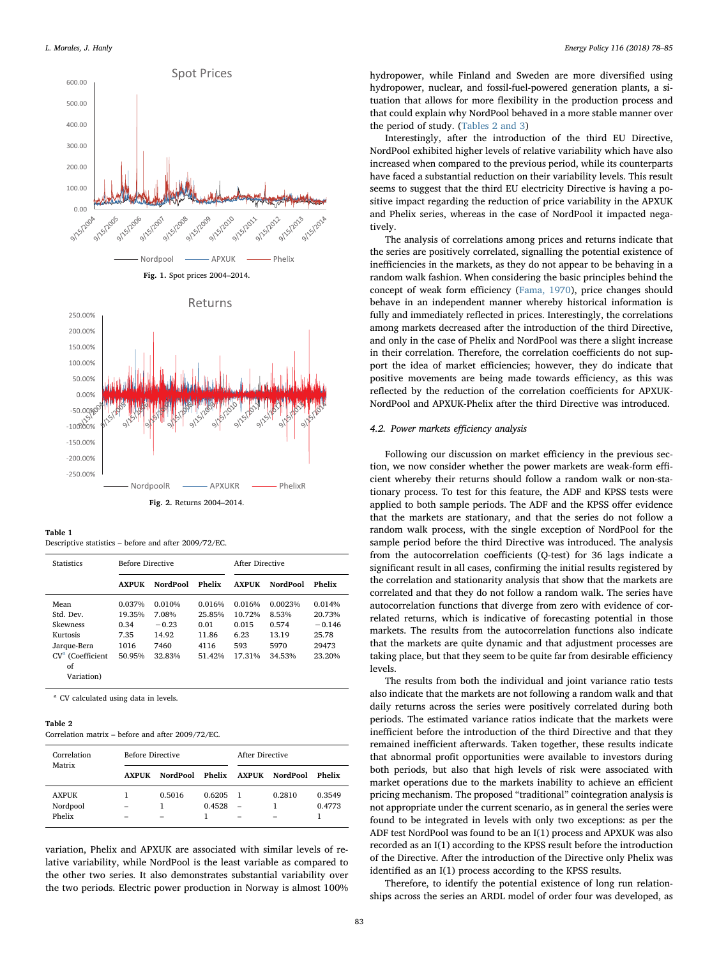<span id="page-6-0"></span>

<span id="page-6-2"></span><span id="page-6-1"></span>Table 1 Descriptive statistics – before and after 2009/72/EC.

| <b>Statistics</b>            |              | Before Directive |        |              | After Directive |          |  |
|------------------------------|--------------|------------------|--------|--------------|-----------------|----------|--|
|                              | <b>AXPUK</b> | <b>NordPool</b>  | Phelix | <b>AXPUK</b> | <b>NordPool</b> | Phelix   |  |
| Mean                         | 0.037%       | 0.010%           | 0.016% | 0.016%       | 0.0023%         | 0.014%   |  |
| Std. Dev.                    | 19.35%       | 7.08%            | 25.85% | 10.72%       | 8.53%           | 20.73%   |  |
| <b>Skewness</b>              | 0.34         | $-0.23$          | 0.01   | 0.015        | 0.574           | $-0.146$ |  |
| Kurtosis                     | 7.35         | 14.92            | 11.86  | 6.23         | 13.19           | 25.78    |  |
| Jarque-Bera                  | 1016         | 7460             | 4116   | 593          | 5970            | 29473    |  |
| CV <sup>a</sup> (Coefficient | 50.95%       | 32.83%           | 51.42% | 17.31%       | 34.53%          | 23.20%   |  |
| of                           |              |                  |        |              |                 |          |  |
| Variation)                   |              |                  |        |              |                 |          |  |

<span id="page-6-4"></span><sup>a</sup> CV calculated using data in levels.

#### <span id="page-6-3"></span>Table 2

Correlation matrix – before and after 2009/72/EC.

| Correlation<br>Matrix              | Before Directive |                 |                       | After Directive |          |                  |
|------------------------------------|------------------|-----------------|-----------------------|-----------------|----------|------------------|
|                                    | <b>AXPUK</b>     | NordPool Phelix |                       | AXPUK           | NordPool | Phelix           |
| <b>AXPUK</b><br>Nordpool<br>Phelix |                  | 0.5016          | 0.6205<br>0.4528<br>1 | -1<br>L.<br>-   | 0.2810   | 0.3549<br>0.4773 |

variation, Phelix and APXUK are associated with similar levels of relative variability, while NordPool is the least variable as compared to the other two series. It also demonstrates substantial variability over the two periods. Electric power production in Norway is almost 100% hydropower, while Finland and Sweden are more diversified using hydropower, nuclear, and fossil-fuel-powered generation plants, a situation that allows for more flexibility in the production process and that could explain why NordPool behaved in a more stable manner over the period of study. [\(Tables 2 and 3](#page-6-3))

Interestingly, after the introduction of the third EU Directive, NordPool exhibited higher levels of relative variability which have also increased when compared to the previous period, while its counterparts have faced a substantial reduction on their variability levels. This result seems to suggest that the third EU electricity Directive is having a positive impact regarding the reduction of price variability in the APXUK and Phelix series, whereas in the case of NordPool it impacted negatively.

The analysis of correlations among prices and returns indicate that the series are positively correlated, signalling the potential existence of inefficiencies in the markets, as they do not appear to be behaving in a random walk fashion. When considering the basic principles behind the concept of weak form efficiency [\(Fama, 1970\)](#page-8-21), price changes should behave in an independent manner whereby historical information is fully and immediately reflected in prices. Interestingly, the correlations among markets decreased after the introduction of the third Directive, and only in the case of Phelix and NordPool was there a slight increase in their correlation. Therefore, the correlation coefficients do not support the idea of market efficiencies; however, they do indicate that positive movements are being made towards efficiency, as this was reflected by the reduction of the correlation coefficients for APXUK-NordPool and APXUK-Phelix after the third Directive was introduced.

## 4.2. Power markets efficiency analysis

Following our discussion on market efficiency in the previous section, we now consider whether the power markets are weak-form efficient whereby their returns should follow a random walk or non-stationary process. To test for this feature, the ADF and KPSS tests were applied to both sample periods. The ADF and the KPSS offer evidence that the markets are stationary, and that the series do not follow a random walk process, with the single exception of NordPool for the sample period before the third Directive was introduced. The analysis from the autocorrelation coefficients (Q-test) for 36 lags indicate a significant result in all cases, confirming the initial results registered by the correlation and stationarity analysis that show that the markets are correlated and that they do not follow a random walk. The series have autocorrelation functions that diverge from zero with evidence of correlated returns, which is indicative of forecasting potential in those markets. The results from the autocorrelation functions also indicate that the markets are quite dynamic and that adjustment processes are taking place, but that they seem to be quite far from desirable efficiency levels.

The results from both the individual and joint variance ratio tests also indicate that the markets are not following a random walk and that daily returns across the series were positively correlated during both periods. The estimated variance ratios indicate that the markets were inefficient before the introduction of the third Directive and that they remained inefficient afterwards. Taken together, these results indicate that abnormal profit opportunities were available to investors during both periods, but also that high levels of risk were associated with market operations due to the markets inability to achieve an efficient pricing mechanism. The proposed "traditional" cointegration analysis is not appropriate under the current scenario, as in general the series were found to be integrated in levels with only two exceptions: as per the ADF test NordPool was found to be an I(1) process and APXUK was also recorded as an I(1) according to the KPSS result before the introduction of the Directive. After the introduction of the Directive only Phelix was identified as an I(1) process according to the KPSS results.

Therefore, to identify the potential existence of long run relationships across the series an ARDL model of order four was developed, as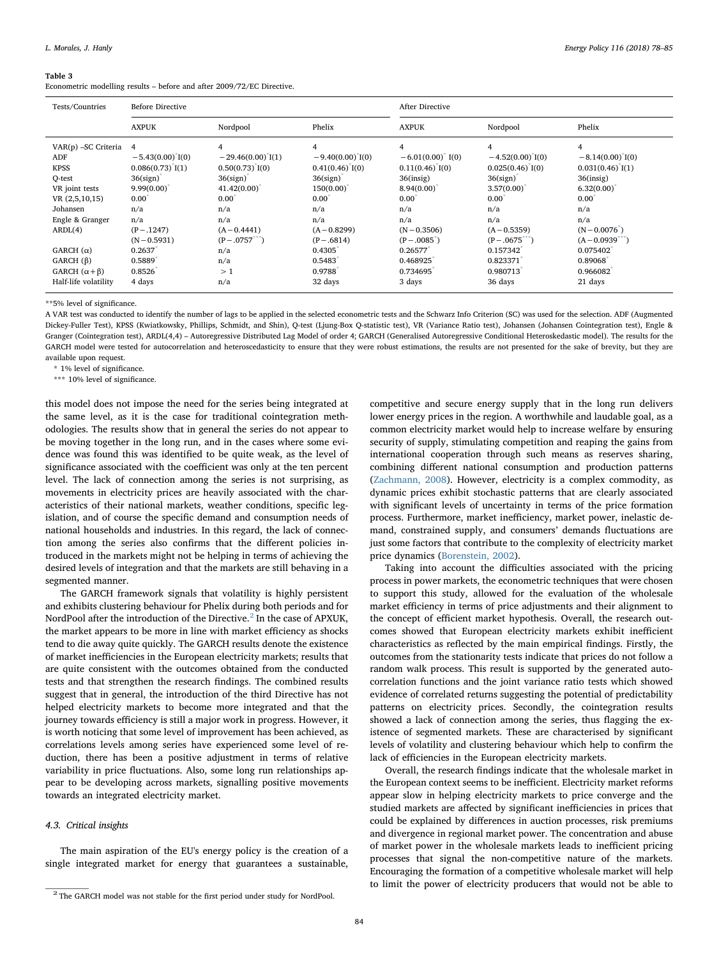#### Table 3

Econometric modelling results – before and after 2009/72/EC Directive.

| Tests/Countries                                                                                                                                                          | <b>Before Directive</b>                                                                                                                                                        |                                                                                                                                                                    |                                                                                                                                                                   | After Directive                                                                                                                                                            |                                                                                                                                                                                    |                                                                                                                                                                           |  |
|--------------------------------------------------------------------------------------------------------------------------------------------------------------------------|--------------------------------------------------------------------------------------------------------------------------------------------------------------------------------|--------------------------------------------------------------------------------------------------------------------------------------------------------------------|-------------------------------------------------------------------------------------------------------------------------------------------------------------------|----------------------------------------------------------------------------------------------------------------------------------------------------------------------------|------------------------------------------------------------------------------------------------------------------------------------------------------------------------------------|---------------------------------------------------------------------------------------------------------------------------------------------------------------------------|--|
|                                                                                                                                                                          | <b>AXPUK</b>                                                                                                                                                                   | Nordpool                                                                                                                                                           | Phelix                                                                                                                                                            | <b>AXPUK</b>                                                                                                                                                               | Nordpool                                                                                                                                                                           | Phelix                                                                                                                                                                    |  |
| VAR(p) -SC Criteria<br>ADF<br><b>KPSS</b><br>O-test<br>VR joint tests<br>VR (2,5,10,15)<br>Johansen<br>Engle & Granger<br>ARDL(4)<br>GARCH $(\alpha)$<br>GARCH $(\beta)$ | $\overline{4}$<br>$-5.43(0.00)$ I(0)<br>$0.086(0.73)$ I(1)<br>$36$ (sign)<br>9.99(0.00)<br>$0.00^{\circ}$<br>n/a<br>n/a<br>$(P - .1247)$<br>$(N - 0.5931)$<br>0.2637<br>0.5889 | 4<br>$-29.46(0.00)^{t}I(1)$<br>$0.50(0.73)$ I(0)<br>$36$ (sign)<br>41.42(0.00)<br>$0.00^{\degree}$<br>n/a<br>n/a<br>$(A - 0.4441)$<br>$(P-.0757***)$<br>n/a<br>n/a | 4<br>$-9.40(0.00)$ $I(0)$<br>$0.41(0.46)$ I(0)<br>$36$ (sign)<br>150(0.00)<br>$0.00^{\circ}$<br>n/a<br>n/a<br>$(A - 0.8299)$<br>$(P - .6814)$<br>0.4305<br>0.5483 | 4<br>$-6.01(0.00)^{2}$ I(0)<br>$0.11(0.46)$ $I(0)$<br>$36$ (insig)<br>8.94(0.00)<br>$0.00^{\circ}$<br>n/a<br>n/a<br>$(N - 0.3506)$<br>$(P - .0085)$<br>0.26577<br>0.468925 | 4<br>$-4.52(0.00)$ $I(0)$<br>$0.025(0.46)$ I(0)<br>36(sign)<br>3.57(0.00)<br>$0.00^{\circ}$<br>n/a<br>n/a<br>$(A - 0.5359)$<br>$(P-.0675$ <sup>***</sup> )<br>0.157342<br>0.823371 | 4<br>$-8.14(0.00)^{*}I(0)$<br>$0.031(0.46)$ I(1)<br>$36$ (insig)<br>6.32(0.00)<br>$0.00^{\circ}$<br>n/a<br>n/a<br>$(N - 0.0076)$<br>$(A - 0.0939)$<br>0.075402<br>0.89068 |  |
| GARCH $(\alpha + \beta)$<br>Half-life volatility                                                                                                                         | 0.8526<br>4 days                                                                                                                                                               | >1<br>n/a                                                                                                                                                          | 0.9788<br>32 days                                                                                                                                                 | 0.734695<br>3 days                                                                                                                                                         | 0.980713<br>36 days                                                                                                                                                                | 0.966082<br>21 days                                                                                                                                                       |  |

\*\*5% level of significance.

A VAR test was conducted to identify the number of lags to be applied in the selected econometric tests and the Schwarz Info Criterion (SC) was used for the selection. ADF (Augmented Dickey-Fuller Test), KPSS (Kwiatkowsky, Phillips, Schmidt, and Shin), Q-test (Ljung-Box Q-statistic test), VR (Variance Ratio test), Johansen (Johansen Cointegration test), Engle & Granger (Cointegration test), ARDL(4,4) – Autoregressive Distributed Lag Model of order 4; GARCH (Generalised Autoregressive Conditional Heteroskedastic model). The results for the GARCH model were tested for autocorrelation and heteroscedasticity to ensure that they were robust estimations, the results are not presented for the sake of brevity, but they are available upon request.

<span id="page-7-1"></span>\* 1% level of significance.

<span id="page-7-2"></span>\*\*\* 10% level of significance.

this model does not impose the need for the series being integrated at the same level, as it is the case for traditional cointegration methodologies. The results show that in general the series do not appear to be moving together in the long run, and in the cases where some evidence was found this was identified to be quite weak, as the level of significance associated with the coefficient was only at the ten percent level. The lack of connection among the series is not surprising, as movements in electricity prices are heavily associated with the characteristics of their national markets, weather conditions, specific legislation, and of course the specific demand and consumption needs of national households and industries. In this regard, the lack of connection among the series also confirms that the different policies introduced in the markets might not be helping in terms of achieving the desired levels of integration and that the markets are still behaving in a segmented manner.

The GARCH framework signals that volatility is highly persistent and exhibits clustering behaviour for Phelix during both periods and for NordPool after the introduction of the Directive.<sup>[2](#page-7-0)</sup> In the case of APXUK, the market appears to be more in line with market efficiency as shocks tend to die away quite quickly. The GARCH results denote the existence of market inefficiencies in the European electricity markets; results that are quite consistent with the outcomes obtained from the conducted tests and that strengthen the research findings. The combined results suggest that in general, the introduction of the third Directive has not helped electricity markets to become more integrated and that the journey towards efficiency is still a major work in progress. However, it is worth noticing that some level of improvement has been achieved, as correlations levels among series have experienced some level of reduction, there has been a positive adjustment in terms of relative variability in price fluctuations. Also, some long run relationships appear to be developing across markets, signalling positive movements towards an integrated electricity market.

#### 4.3. Critical insights

The main aspiration of the EU's energy policy is the creation of a single integrated market for energy that guarantees a sustainable,

<span id="page-7-0"></span> $2$  The GARCH model was not stable for the first period under study for NordPool.

competitive and secure energy supply that in the long run delivers lower energy prices in the region. A worthwhile and laudable goal, as a common electricity market would help to increase welfare by ensuring security of supply, stimulating competition and reaping the gains from international cooperation through such means as reserves sharing, combining different national consumption and production patterns ([Zachmann, 2008](#page-8-39)). However, electricity is a complex commodity, as dynamic prices exhibit stochastic patterns that are clearly associated with significant levels of uncertainty in terms of the price formation process. Furthermore, market inefficiency, market power, inelastic demand, constrained supply, and consumers' demands fluctuations are just some factors that contribute to the complexity of electricity market price dynamics ([Borenstein, 2002](#page-8-40)).

Taking into account the difficulties associated with the pricing process in power markets, the econometric techniques that were chosen to support this study, allowed for the evaluation of the wholesale market efficiency in terms of price adjustments and their alignment to the concept of efficient market hypothesis. Overall, the research outcomes showed that European electricity markets exhibit inefficient characteristics as reflected by the main empirical findings. Firstly, the outcomes from the stationarity tests indicate that prices do not follow a random walk process. This result is supported by the generated autocorrelation functions and the joint variance ratio tests which showed evidence of correlated returns suggesting the potential of predictability patterns on electricity prices. Secondly, the cointegration results showed a lack of connection among the series, thus flagging the existence of segmented markets. These are characterised by significant levels of volatility and clustering behaviour which help to confirm the lack of efficiencies in the European electricity markets.

Overall, the research findings indicate that the wholesale market in the European context seems to be inefficient. Electricity market reforms appear slow in helping electricity markets to price converge and the studied markets are affected by significant inefficiencies in prices that could be explained by differences in auction processes, risk premiums and divergence in regional market power. The concentration and abuse of market power in the wholesale markets leads to inefficient pricing processes that signal the non-competitive nature of the markets. Encouraging the formation of a competitive wholesale market will help to limit the power of electricity producers that would not be able to